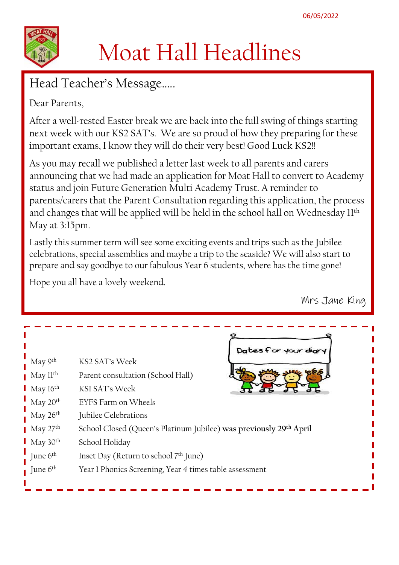

# Moat Hall Headlines

Head Teacher's Message…..

Dear Parents,

After a well-rested Easter break we are back into the full swing of things starting next week with our KS2 SAT's. We are so proud of how they preparing for these important exams, I know they will do their very best! Good Luck KS2!!

As you may recall we published a letter last week to all parents and carers announcing that we had made an application for Moat Hall to convert to Academy status and join Future Generation Multi Academy Trust. A reminder to parents/carers that the Parent Consultation regarding this application, the process and changes that will be applied will be held in the school hall on Wednesday 11th May at 3:15pm.

Lastly this summer term will see some exciting events and trips such as the Jubilee celebrations, special assemblies and maybe a trip to the seaside? We will also start to prepare and say goodbye to our fabulous Year 6 students, where has the time gone!

Hope you all have a lovely weekend.

Mrs Jane King

|                                     |                                                                                | Dates for your diary |
|-------------------------------------|--------------------------------------------------------------------------------|----------------------|
| May 9 <sup>th</sup>                 | KS2 SAT's Week                                                                 |                      |
| $\blacksquare$ May ll <sup>th</sup> | Parent consultation (School Hall)                                              |                      |
| $\blacksquare$ May 16 <sup>th</sup> | KSI SAT's Week                                                                 |                      |
| $\frac{I}{I}$ May 20 <sup>th</sup>  | EYFS Farm on Wheels                                                            |                      |
| May 26 <sup>th</sup>                | Jubilee Celebrations                                                           |                      |
| $\blacksquare$ May 27 <sup>th</sup> | School Closed (Queen's Platinum Jubilee) was previously 29 <sup>th</sup> April |                      |
| $\blacksquare$ May 30 <sup>th</sup> | School Holiday                                                                 |                      |
| June $6th$                          | Inset Day (Return to school 7 <sup>th</sup> June)                              |                      |
| $\blacksquare$ June $6^{\text{th}}$ | Year 1 Phonics Screening, Year 4 times table assessment                        |                      |
|                                     |                                                                                |                      |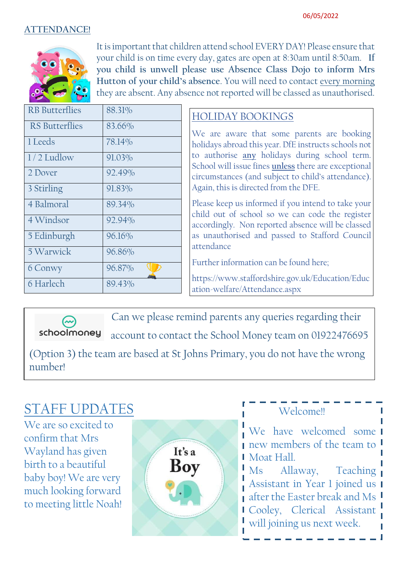#### **ATTENDANCE!**



It is important that children attend school EVERY DAY! Please ensure that your child is on time every day, gates are open at 8:30am until 8:50am. **If you child is unwell please use Absence Class Dojo to inform Mrs Hutton of your child's absence**. You will need to contact every morning they are absent. Any absence not reported will be classed as unauthorised.

| <b>RB</b> Butterflies | 88.31% |
|-----------------------|--------|
| <b>RS</b> Butterflies | 83.66% |
| 1 Leeds               | 78.14% |
| $1/2$ Ludlow          | 91.03% |
| 2 Dover               | 92.49% |
| 3 Stirling            | 91.83% |
| 4 Balmoral            | 89.34% |
| 4 Windsor             | 92.94% |
| 5 Edinburgh           | 96.16% |
| 5 Warwick             | 96.86% |
| 6 Conwy               | 96.87% |
| 6 Harlech             | 89.43% |

## HOLIDAY BOOKINGS

We are aware that some parents are booking holidays abroad this year. DfE instructs schools not to authorise **any** holidays during school term. School will issue fines **unless** there are exceptional circumstances (and subject to child's attendance). Again, this is directed from the DFE.

Please keep us informed if you intend to take your child out of school so we can code the register accordingly. Non reported absence will be classed as unauthorised and passed to Stafford Council attendance

Further information can be found here;

https://www.staffordshire.gov.uk/Education/Educ ation-welfare/Attendance.aspx

Can we please remind parents any queries regarding their

schoolmoney account to contact the School Money team on 01922476695

(Option 3) the team are based at St Johns Primary, you do not have the wrong number!

# STAFF UPDATES

We are so excited to confirm that Mrs Wayland has given birth to a beautiful baby boy! We are very much looking forward to meeting little Noah!



# Welcome!!

We have welcomed some I **new members of the team to I I** Moat Hall.

Ms Allaway, Teaching Assistant in Year 1 joined us after the Easter break and Ms Cooley, Clerical Assistant will joining us next week.